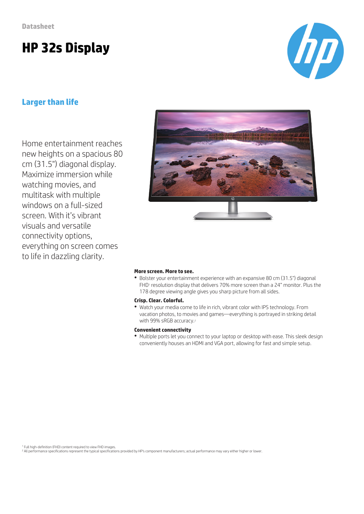# **HP 32s Display**

### **Larger than life**

Home entertainment reaches new heights on a spacious 80 cm (31.5") diagonal display. Maximize immersion while watching movies, and multitask with multiple windows on a full-sized screen. With it's vibrant visuals and versatile connectivity options, everything on screen comes to life in dazzling clarity.



#### **More screen. More to see.**

● Bolster your entertainment experience with an expansive 80 cm (31.5") diagonal FHD<sup>1</sup> resolution display that delivers 70% more screen than a 24" monitor. Plus the 178 degree viewing angle gives you sharp picture from all sides.

#### **Crisp. Clear. Colorful.**

● Watch your media come to life in rich, vibrant color with IPS technology. From vacation photos, to movies and games—everything is portrayed in striking detail with 99% sRGB accuracy.<sup>2</sup>

#### **Convenient connectivity**

● Multiple ports let you connect to your laptop or desktop with ease. This sleek design conveniently houses an HDMI and VGA port, allowing for fast and simple setup.



<sup>&</sup>lt;sup>2</sup> All performance specifications represent the typical specifications provided by HP's component manufacturers; actual performance may vary either higher or lower.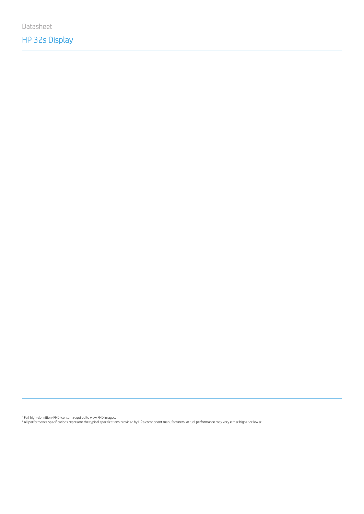Datasheet

# HP 32s Display

1 Full high-definition (FHD) content required to view FHD images.<br><sup>2</sup> All performance specifications represent the typical specifications provided by HP's component manufacturers; actual performance may vary either higher